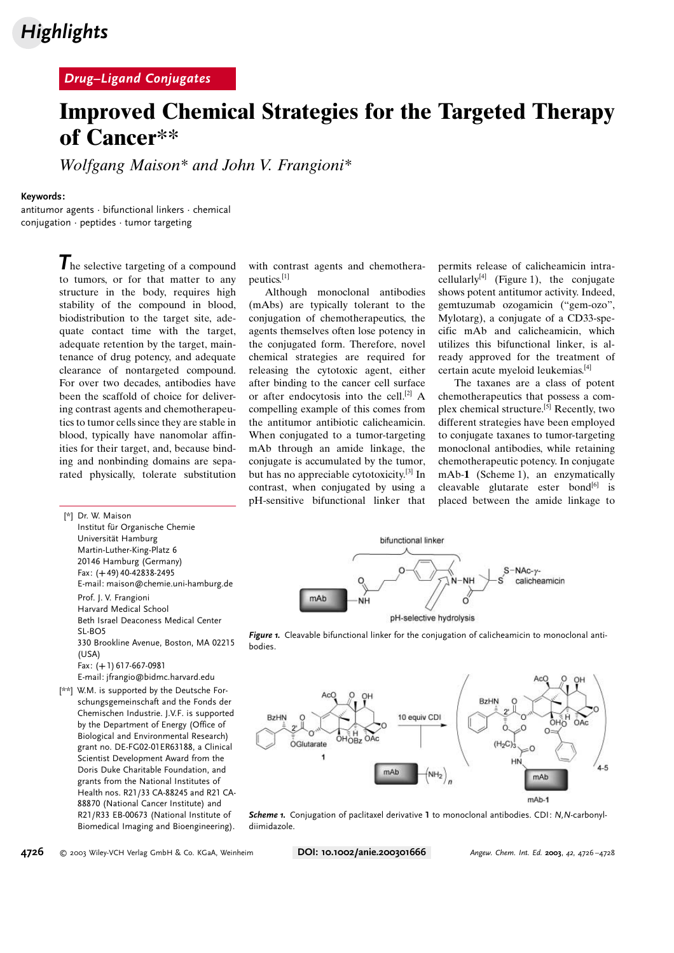# **Highlights**

### Drug–Ligand Conjugates

# Improved Chemical Strategies for the Targeted Therapy of Cancer\*\*

Wolfgang Maison\* and John V. Frangioni\*

#### Keywords:

antitumor agents · bifunctional linkers · chemical conjugation · peptides · tumor targeting

> The selective targeting of a compound to tumors, or for that matter to any structure in the body, requires high stability of the compound in blood, biodistribution to the target site, adequate contact time with the target, adequate retention by the target, maintenance of drug potency, and adequate clearance of nontargeted compound. For over two decades, antibodies have been the scaffold of choice for delivering contrast agents and chemotherapeutics to tumor cells since they are stable in blood, typically have nanomolar affinities for their target, and, because binding and nonbinding domains are separated physically, tolerate substitution

[\*] Dr. W. Maison Institut für Organische Chemie Universität Hamburg Martin-Luther-King-Platz 6 20146 Hamburg (Germany) Fax: (+49) 40-42838-2495 E-mail: maison@chemie.uni-hamburg.de Prof. J. V. Frangioni Harvard Medical School Beth Israel Deaconess Medical Center SL-BO5 330 Brookline Avenue, Boston, MA 02215  $(USSA)$ Fax: (+1) 617-667-0981 E-mail: jfrangio@bidmc.harvard.edu [\*\*] W.M. is supported by the Deutsche For-

schungsgemeinschaft and the Fonds der Chemischen Industrie. J.V.F. is supported by the Department of Energy (Office of Biological and Environmental Research) grant no. DE-FG02-01ER63188, a Clinical Scientist Development Award from the Doris Duke Charitable Foundation, and grants from the National Institutes of Health nos. R21/33 CA-88245 and R21 CA-88870 (National Cancer Institute) and R21/R33 EB-00673 (National Institute of Biomedical Imaging and Bioengineering).

with contrast agents and chemotherapeutics.[1]

Although monoclonal antibodies (mAbs) are typically tolerant to the conjugation of chemotherapeutics, the agents themselves often lose potency in the conjugated form. Therefore, novel chemical strategies are required for releasing the cytotoxic agent, either after binding to the cancer cell surface or after endocytosis into the cell.<sup>[2]</sup> A compelling example of this comes from the antitumor antibiotic calicheamicin. When conjugated to a tumor-targeting mAb through an amide linkage, the conjugate is accumulated by the tumor, but has no appreciable cytotoxicity.[3] In contrast, when conjugated by using a pH-sensitive bifunctional linker that permits release of calicheamicin intracellularly<sup>[4]</sup> (Figure 1), the conjugate shows potent antitumor activity. Indeed, gemtuzumab ozogamicin ("gem-ozo", Mylotarg), a conjugate of a CD33-specific mAb and calicheamicin, which utilizes this bifunctional linker, is already approved for the treatment of certain acute myeloid leukemias.[4]

The taxanes are a class of potent chemotherapeutics that possess a complex chemical structure.[5] Recently, two different strategies have been employed to conjugate taxanes to tumor-targeting monoclonal antibodies, while retaining chemotherapeutic potency. In conjugate mAb-1 (Scheme 1), an enzymatically cleavable glutarate ester bond $[6]$  is placed between the amide linkage to







Scheme 1. Conjugation of paclitaxel derivative 1 to monoclonal antibodies. CDI: N, N-carbonyldiimidazole.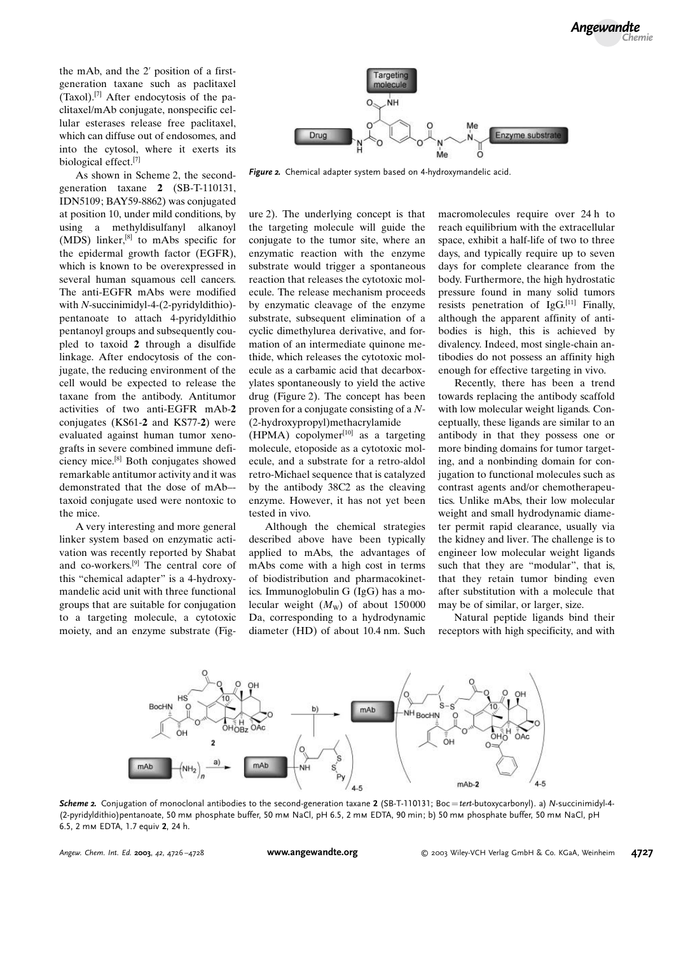the mAb, and the 2' position of a firstgeneration taxane such as paclitaxel  $(Taxol)$ .<sup>[7]</sup> After endocytosis of the paclitaxel/mAb conjugate, nonspecific cellular esterases release free paclitaxel, which can diffuse out of endosomes, and into the cytosol, where it exerts its biological effect.[7]

As shown in Scheme 2, the secondgeneration taxane 2 (SB-T-110131, IDN5109; BAY59-8862) was conjugated at position 10, under mild conditions, by using a methyldisulfanyl alkanoyl (MDS) linker, $[8]$  to mAbs specific for the epidermal growth factor (EGFR), which is known to be overexpressed in several human squamous cell cancers. The anti-EGFR mAbs were modified with N-succinimidyl-4-(2-pyridyldithio) pentanoate to attach 4-pyridyldithio pentanoyl groups and subsequently coupled to taxoid 2 through a disulfide linkage. After endocytosis of the conjugate, the reducing environment of the cell would be expected to release the taxane from the antibody. Antitumor activities of two anti-EGFR mAb-2 conjugates  $(KS61-2$  and  $KS77-2)$  were evaluated against human tumor xenografts in severe combined immune deficiency mice.[8] Both conjugates showed remarkable antitumor activity and it was demonstrated that the dose of mAb– taxoid conjugate used were nontoxic to the mice.

A very interesting and more general linker system based on enzymatic activation was recently reported by Shabat and co-workers.[9] The central core of this "chemical adapter" is a 4-hydroxymandelic acid unit with three functional groups that are suitable for conjugation to a targeting molecule, a cytotoxic moiety, and an enzyme substrate (Fig-



Figure 2. Chemical adapter system based on 4-hydroxymandelic acid.

ure 2). The underlying concept is that the targeting molecule will guide the conjugate to the tumor site, where an enzymatic reaction with the enzyme substrate would trigger a spontaneous reaction that releases the cytotoxic molecule. The release mechanism proceeds by enzymatic cleavage of the enzyme substrate, subsequent elimination of a cyclic dimethylurea derivative, and formation of an intermediate quinone methide, which releases the cytotoxic molecule as a carbamic acid that decarboxylates spontaneously to yield the active drug (Figure 2). The concept has been proven for a conjugate consisting of a N- (2-hydroxypropyl)methacrylamide

(HPMA) copolymer<sup>[10]</sup> as a targeting molecule, etoposide as a cytotoxic molecule, and a substrate for a retro-aldol retro-Michael sequence that is catalyzed by the antibody 38C2 as the cleaving enzyme. However, it has not yet been tested in vivo.

Although the chemical strategies described above have been typically applied to mAbs, the advantages of mAbs come with a high cost in terms of biodistribution and pharmacokinetics. Immunoglobulin G  $(IgG)$  has a molecular weight  $(M_{\rm W})$  of about 150000 Da, corresponding to a hydrodynamic diameter (HD) of about 10.4 nm. Such macromolecules require over 24 h to reach equilibrium with the extracellular space, exhibit a half-life of two to three days, and typically require up to seven days for complete clearance from the body. Furthermore, the high hydrostatic pressure found in many solid tumors resists penetration of  $IgG<sub>1</sub><sup>[11]</sup>$  Finally, although the apparent affinity of antibodies is high, this is achieved by divalency. Indeed, most single-chain antibodies do not possess an affinity high enough for effective targeting in vivo.

Recently, there has been a trend towards replacing the antibody scaffold with low molecular weight ligands. Conceptually, these ligands are similar to an antibody in that they possess one or more binding domains for tumor targeting, and a nonbinding domain for conjugation to functional molecules such as contrast agents and/or chemotherapeutics. Unlike mAbs, their low molecular weight and small hydrodynamic diameter permit rapid clearance, usually via the kidney and liver. The challenge is to engineer low molecular weight ligands such that they are "modular", that is, that they retain tumor binding even after substitution with a molecule that may be of similar, or larger, size.

Natural peptide ligands bind their receptors with high specificity, and with



Scheme 2. Conjugation of monoclonal antibodies to the second-generation taxane 2 (SB-T-110131; Boc=tert-butoxycarbonyl). a) N-succinimidyl-4-(2-pyridyldithio)pentanoate, 50 mm phosphate buffer, 50 mm NaCl, pH 6.5, 2 mm EDTA, 90 min; b) 50 mm phosphate buffer, 50 mm NaCl, pH 6.5, 2 mm EDTA, 1.7 equiv 2, 24 h.